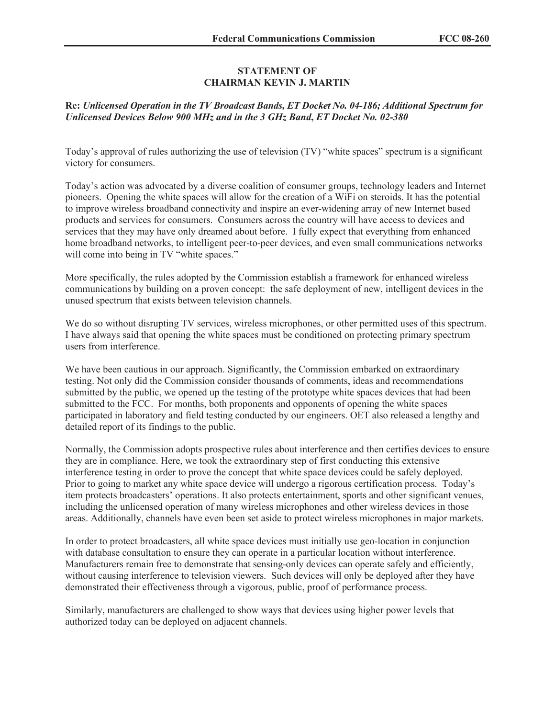## **STATEMENT OF CHAIRMAN KEVIN J. MARTIN**

## **Re:** *Unlicensed Operation in the TV Broadcast Bands, ET Docket No. 04-186; Additional Spectrum for Unlicensed Devices Below 900 MHz and in the 3 GHz Band***,** *ET Docket No. 02-380*

Today's approval of rules authorizing the use of television (TV) "white spaces" spectrum is a significant victory for consumers.

Today's action was advocated by a diverse coalition of consumer groups, technology leaders and Internet pioneers. Opening the white spaces will allow for the creation of a WiFi on steroids. It has the potential to improve wireless broadband connectivity and inspire an ever-widening array of new Internet based products and services for consumers. Consumers across the country will have access to devices and services that they may have only dreamed about before. I fully expect that everything from enhanced home broadband networks, to intelligent peer-to-peer devices, and even small communications networks will come into being in TV "white spaces."

More specifically, the rules adopted by the Commission establish a framework for enhanced wireless communications by building on a proven concept: the safe deployment of new, intelligent devices in the unused spectrum that exists between television channels.

We do so without disrupting TV services, wireless microphones, or other permitted uses of this spectrum. I have always said that opening the white spaces must be conditioned on protecting primary spectrum users from interference.

We have been cautious in our approach. Significantly, the Commission embarked on extraordinary testing. Not only did the Commission consider thousands of comments, ideas and recommendations submitted by the public, we opened up the testing of the prototype white spaces devices that had been submitted to the FCC. For months, both proponents and opponents of opening the white spaces participated in laboratory and field testing conducted by our engineers. OET also released a lengthy and detailed report of its findings to the public.

Normally, the Commission adopts prospective rules about interference and then certifies devices to ensure they are in compliance. Here, we took the extraordinary step of first conducting this extensive interference testing in order to prove the concept that white space devices could be safely deployed. Prior to going to market any white space device will undergo a rigorous certification process. Today's item protects broadcasters' operations. It also protects entertainment, sports and other significant venues, including the unlicensed operation of many wireless microphones and other wireless devices in those areas. Additionally, channels have even been set aside to protect wireless microphones in major markets.

In order to protect broadcasters, all white space devices must initially use geo-location in conjunction with database consultation to ensure they can operate in a particular location without interference. Manufacturers remain free to demonstrate that sensing-only devices can operate safely and efficiently, without causing interference to television viewers. Such devices will only be deployed after they have demonstrated their effectiveness through a vigorous, public, proof of performance process.

Similarly, manufacturers are challenged to show ways that devices using higher power levels that authorized today can be deployed on adjacent channels.